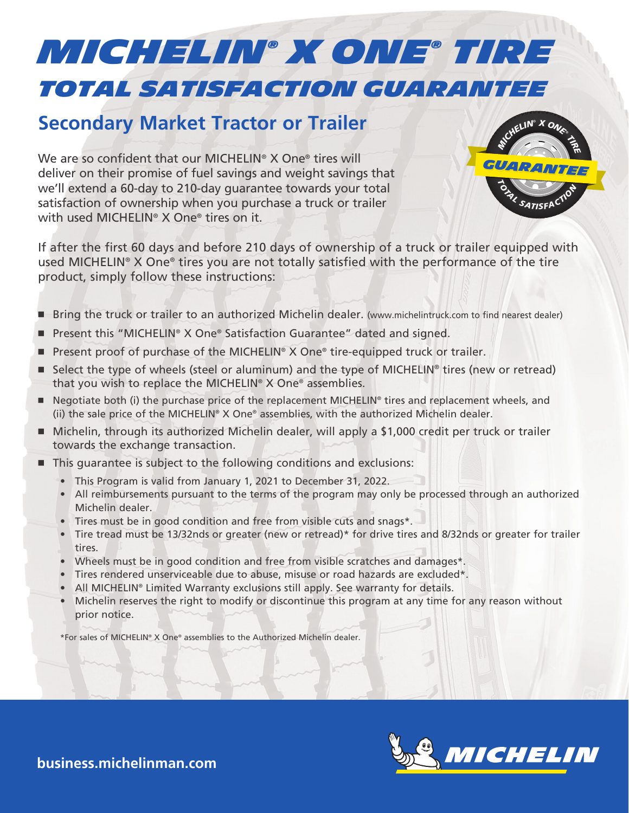## *Total Satisfaction Guarantee MICHELIN® x one® TIRE*

## **Secondary Market Tractor or Trailer**

We are so confident that our MICHELIN<sup>®</sup> X One<sup>®</sup> tires will deliver on their promise of fuel savings and weight savings that we'll extend a 60-day to 210-day guarantee towards your total satisfaction of ownership when you purchase a truck or trailer with used MICHELIN® X One® tires on it.



If after the first 60 days and before 210 days of ownership of a truck or trailer equipped with used MICHELIN® X One® tires you are not totally satisfied with the performance of the tire product, simply follow these instructions:

- Bring the truck or trailer to an authorized Michelin dealer. (www.michelintruck.com to find nearest dealer)
- � Present this "MICHELIN® X One® Satisfaction Guarantee" dated and signed.
- $\blacksquare$  Present proof of purchase of the MICHELIN<sup>®</sup> X One® tire-equipped truck or trailer.
- $\blacksquare$  Select the type of wheels (steel or aluminum) and the type of MICHELIN<sup>®</sup> tires (new or retread) that you wish to replace the MICHELIN® X One® assemblies.
- Negotiate both (i) the purchase price of the replacement MICHELIN® tires and replacement wheels, and (ii) the sale price of the MICHELIN® X One® assemblies, with the authorized Michelin dealer.
- Michelin, through its authorized Michelin dealer, will apply a \$1,000 credit per truck or trailer towards the exchange transaction.
- This guarantee is subject to the following conditions and exclusions:
	- This Program is valid from January 1, 2021 to December 31, 2022.
	- All reimbursements pursuant to the terms of the program may only be processed through an authorized Michelin dealer.
	- Tires must be in good condition and free from visible cuts and snags\*.
	- Tire tread must be 13/32nds or greater (new or retread)\* for drive tires and 8/32nds or greater for trailer tires.
	- Wheels must be in good condition and free from visible scratches and damages\*.
	- Tires rendered unserviceable due to abuse, misuse or road hazards are excluded\*.
	- All MICHELIN® Limited Warranty exclusions still apply. See warranty for details.
	- Michelin reserves the right to modify or discontinue this program at any time for any reason without prior notice.

\*For sales of MICHELIN® X One® assemblies to the Authorized Michelin dealer.



**business.michelinman.com**